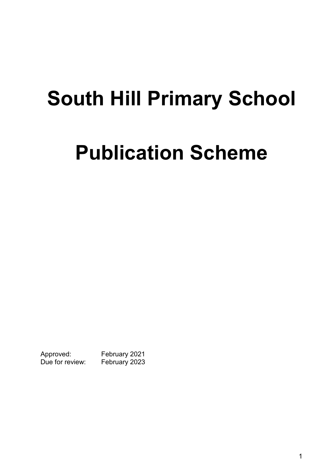# **South Hill Primary School**

# **Publication Scheme**

Approved: February 2021 Due for review: February 2023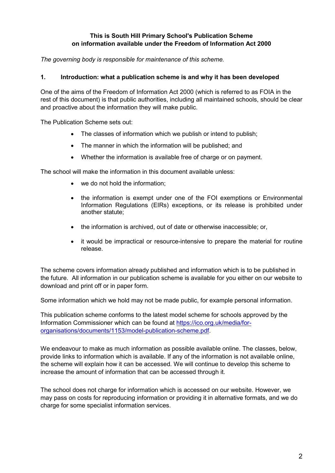#### **This is South Hill Primary School's Publication Scheme on information available under the Freedom of Information Act 2000**

*The governing body is responsible for maintenance of this scheme.*

#### **1. Introduction: what a publication scheme is and why it has been developed**

One of the aims of the Freedom of Information Act 2000 (which is referred to as FOIA in the rest of this document) is that public authorities, including all maintained schools, should be clear and proactive about the information they will make public.

The Publication Scheme sets out:

- The classes of information which we publish or intend to publish:
- The manner in which the information will be published; and
- Whether the information is available free of charge or on payment.

The school will make the information in this document available unless:

- we do not hold the information;
- the information is exempt under one of the FOI exemptions or Environmental Information Regulations (EIRs) exceptions, or its release is prohibited under another statute;
- the information is archived, out of date or otherwise inaccessible; or,
- it would be impractical or resource-intensive to prepare the material for routine release.

The scheme covers information already published and information which is to be published in the future. All information in our publication scheme is available for you either on our website to download and print off or in paper form.

Some information which we hold may not be made public, for example personal information.

This publication scheme conforms to the latest model scheme for schools approved by the Information Commissioner which can be found at https://ico.org.uk/media/fororganisations/documents/1153/model-publication-scheme.pdf.

We endeavour to make as much information as possible available online. The classes, below, provide links to information which is available. If any of the information is not available online, the scheme will explain how it can be accessed. We will continue to develop this scheme to increase the amount of information that can be accessed through it.

The school does not charge for information which is accessed on our website. However, we may pass on costs for reproducing information or providing it in alternative formats, and we do charge for some specialist information services.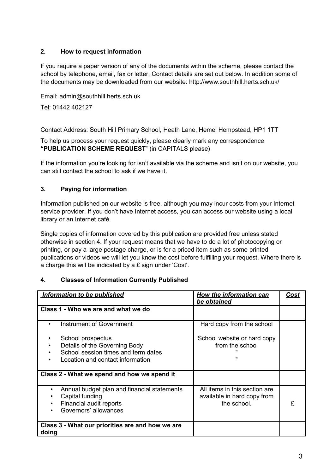### **2. How to request information**

If you require a paper version of any of the documents within the scheme, please contact the school by telephone, email, fax or letter. Contact details are set out below. In addition some of the documents may be downloaded from our website: http://www.southhill.herts.sch.uk/

Email: admin@southhill.herts.sch.uk

Tel: 01442 402127

Contact Address: South Hill Primary School, Heath Lane, Hemel Hempstead, HP1 1TT

To help us process your request quickly, please clearly mark any correspondence **"PUBLICATION SCHEME REQUEST**" (in CAPITALS please)

If the information you're looking for isn't available via the scheme and isn't on our website, you can still contact the school to ask if we have it.

#### **3. Paying for information**

Information published on our website is free, although you may incur costs from your Internet service provider. If you don't have Internet access, you can access our website using a local library or an Internet café.

Single copies of information covered by this publication are provided free unless stated otherwise in section 4. If your request means that we have to do a lot of photocopying or printing, or pay a large postage charge, or is for a priced item such as some printed publications or videos we will let you know the cost before fulfilling your request. Where there is a charge this will be indicated by a £ sign under 'Cost'.

#### **4. Classes of Information Currently Published**

| Information to be published                                                                                                                          | How the information can<br>be obtained                                      | Cost |
|------------------------------------------------------------------------------------------------------------------------------------------------------|-----------------------------------------------------------------------------|------|
| Class 1 - Who we are and what we do                                                                                                                  |                                                                             |      |
| Instrument of Government                                                                                                                             | Hard copy from the school                                                   |      |
| School prospectus<br>٠<br>Details of the Governing Body<br>٠<br>School session times and term dates<br>Location and contact information<br>$\bullet$ | School website or hard copy<br>from the school<br>$\mathbf{u}$              |      |
| Class 2 - What we spend and how we spend it                                                                                                          |                                                                             |      |
| Annual budget plan and financial statements<br>$\bullet$<br>Capital funding<br>Financial audit reports<br>Governors' allowances                      | All items in this section are<br>available in hard copy from<br>the school. | £    |
| Class 3 - What our priorities are and how we are<br>doing                                                                                            |                                                                             |      |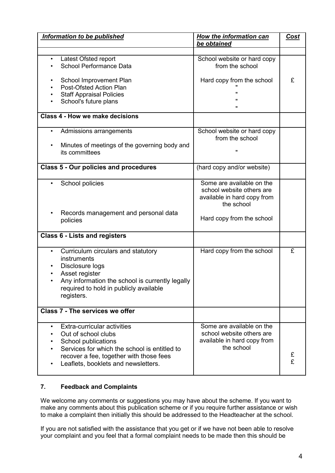| <b>Information to be published</b>                                                                                                                                                                                       | <b>How the information can</b><br>be obtained                                                       | <b>Cost</b> |
|--------------------------------------------------------------------------------------------------------------------------------------------------------------------------------------------------------------------------|-----------------------------------------------------------------------------------------------------|-------------|
|                                                                                                                                                                                                                          |                                                                                                     |             |
| Latest Ofsted report<br>$\bullet$<br><b>School Performance Data</b>                                                                                                                                                      | School website or hard copy<br>from the school                                                      |             |
| School Improvement Plan<br>Post-Ofsted Action Plan<br><b>Staff Appraisal Policies</b><br>School's future plans                                                                                                           | Hard copy from the school<br>$\pmb{\mathsf{H}}$                                                     | £           |
| Class 4 - How we make decisions                                                                                                                                                                                          |                                                                                                     |             |
| Admissions arrangements<br>$\bullet$<br>Minutes of meetings of the governing body and<br>its committees                                                                                                                  | School website or hard copy<br>from the school<br>$\mathbf{u}$                                      |             |
| <b>Class 5 - Our policies and procedures</b>                                                                                                                                                                             | (hard copy and/or website)                                                                          |             |
| School policies                                                                                                                                                                                                          | Some are available on the<br>school website others are<br>available in hard copy from<br>the school |             |
| Records management and personal data<br>policies                                                                                                                                                                         | Hard copy from the school                                                                           |             |
| <b>Class 6 - Lists and registers</b>                                                                                                                                                                                     |                                                                                                     |             |
| Curriculum circulars and statutory<br>$\bullet$<br>instruments<br>Disclosure logs<br>Asset register<br>Any information the school is currently legally<br>required to hold in publicly available<br>registers.           | Hard copy from the school                                                                           | £           |
| Class 7 - The services we offer                                                                                                                                                                                          |                                                                                                     |             |
| Extra-curricular activities<br>$\bullet$<br>Out of school clubs<br>School publications<br>Services for which the school is entitled to<br>recover a fee, together with those fees<br>Leaflets, booklets and newsletters. | Some are available on the<br>school website others are<br>available in hard copy from<br>the school | £<br>£      |

#### **7. Feedback and Complaints**

We welcome any comments or suggestions you may have about the scheme. If you want to make any comments about this publication scheme or if you require further assistance or wish to make a complaint then initially this should be addressed to the Headteacher at the school.

If you are not satisfied with the assistance that you get or if we have not been able to resolve your complaint and you feel that a formal complaint needs to be made then this should be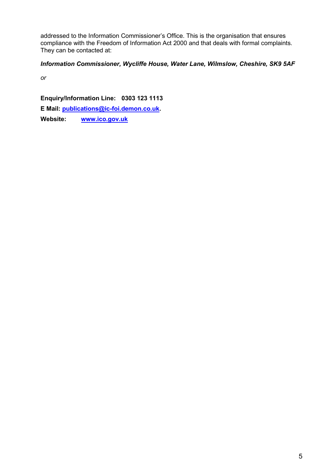addressed to the Information Commissioner's Office. This is the organisation that ensures compliance with the Freedom of Information Act 2000 and that deals with formal complaints. They can be contacted at:

#### *Information Commissioner, Wycliffe House, Water Lane, Wilmslow, Cheshire, SK9 5AF*

*or* 

**Enquiry/Information Line: 0303 123 1113** 

**E Mail: publications@ic-foi.demon.co.uk.** 

**Website: www.ico.gov.uk**